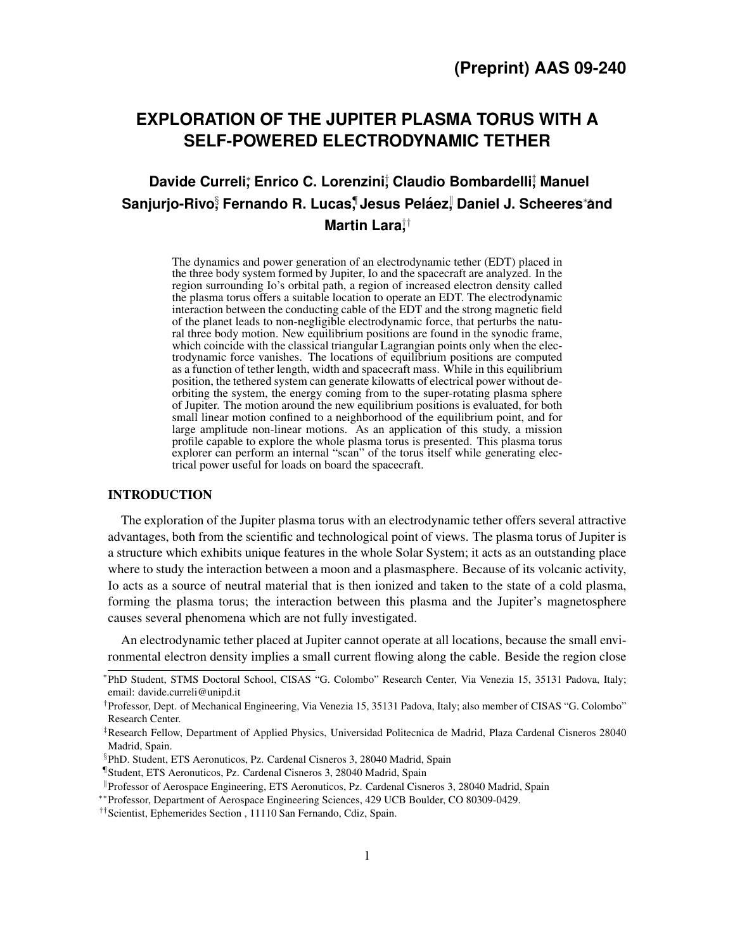# **EXPLORATION OF THE JUPITER PLASMA TORUS WITH A SELF-POWERED ELECTRODYNAMIC TETHER**

# **Davide Curreli**; Enrico C. Lorenzini; Claudio Bombardelli; Manuel **Sanjurjo-Rivo**§ **, Fernando R. Lucas**¶ **, Jesus Pelaez ´** k **, Daniel J. Scheeres**∗∗**and Martin Lara**†† **,**

The dynamics and power generation of an electrodynamic tether (EDT) placed in the three body system formed by Jupiter, Io and the spacecraft are analyzed. In the region surrounding Io's orbital path, a region of increased electron density called the plasma torus offers a suitable location to operate an EDT. The electrodynamic interaction between the conducting cable of the EDT and the strong magnetic field of the planet leads to non-negligible electrodynamic force, that perturbs the natural three body motion. New equilibrium positions are found in the synodic frame, which coincide with the classical triangular Lagrangian points only when the electrodynamic force vanishes. The locations of equilibrium positions are computed as a function of tether length, width and spacecraft mass. While in this equilibrium position, the tethered system can generate kilowatts of electrical power without deorbiting the system, the energy coming from to the super-rotating plasma sphere of Jupiter. The motion around the new equilibrium positions is evaluated, for both small linear motion confined to a neighborhood of the equilibrium point, and for large amplitude non-linear motions. As an application of this study, a mission profile capable to explore the whole plasma torus is presented. This plasma torus explorer can perform an internal "scan" of the torus itself while generating electrical power useful for loads on board the spacecraft.

# INTRODUCTION

The exploration of the Jupiter plasma torus with an electrodynamic tether offers several attractive advantages, both from the scientific and technological point of views. The plasma torus of Jupiter is a structure which exhibits unique features in the whole Solar System; it acts as an outstanding place where to study the interaction between a moon and a plasmasphere. Because of its volcanic activity, Io acts as a source of neutral material that is then ionized and taken to the state of a cold plasma, forming the plasma torus; the interaction between this plasma and the Jupiter's magnetosphere causes several phenomena which are not fully investigated.

An electrodynamic tether placed at Jupiter cannot operate at all locations, because the small environmental electron density implies a small current flowing along the cable. Beside the region close

<sup>∗</sup> PhD Student, STMS Doctoral School, CISAS "G. Colombo" Research Center, Via Venezia 15, 35131 Padova, Italy; email: davide.curreli@unipd.it

<sup>†</sup> Professor, Dept. of Mechanical Engineering, Via Venezia 15, 35131 Padova, Italy; also member of CISAS "G. Colombo" Research Center.

<sup>‡</sup>Research Fellow, Department of Applied Physics, Universidad Politecnica de Madrid, Plaza Cardenal Cisneros 28040 Madrid, Spain.

<sup>§</sup> PhD. Student, ETS Aeronuticos, Pz. Cardenal Cisneros 3, 28040 Madrid, Spain

<sup>¶</sup> Student, ETS Aeronuticos, Pz. Cardenal Cisneros 3, 28040 Madrid, Spain

Professor of Aerospace Engineering, ETS Aeronuticos, Pz. Cardenal Cisneros 3, 28040 Madrid, Spain

<sup>∗∗</sup>Professor, Department of Aerospace Engineering Sciences, 429 UCB Boulder, CO 80309-0429.

<sup>††</sup>Scientist, Ephemerides Section , 11110 San Fernando, Cdiz, Spain.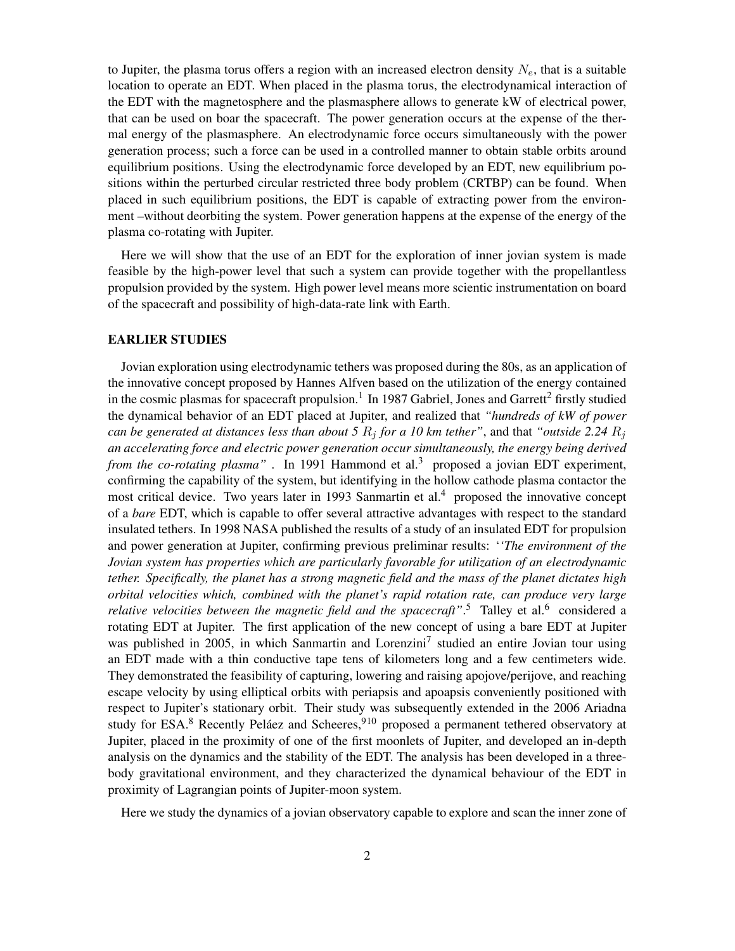to Jupiter, the plasma torus offers a region with an increased electron density  $N_e$ , that is a suitable location to operate an EDT. When placed in the plasma torus, the electrodynamical interaction of the EDT with the magnetosphere and the plasmasphere allows to generate kW of electrical power, that can be used on boar the spacecraft. The power generation occurs at the expense of the thermal energy of the plasmasphere. An electrodynamic force occurs simultaneously with the power generation process; such a force can be used in a controlled manner to obtain stable orbits around equilibrium positions. Using the electrodynamic force developed by an EDT, new equilibrium positions within the perturbed circular restricted three body problem (CRTBP) can be found. When placed in such equilibrium positions, the EDT is capable of extracting power from the environment –without deorbiting the system. Power generation happens at the expense of the energy of the plasma co-rotating with Jupiter.

Here we will show that the use of an EDT for the exploration of inner jovian system is made feasible by the high-power level that such a system can provide together with the propellantless propulsion provided by the system. High power level means more scientic instrumentation on board of the spacecraft and possibility of high-data-rate link with Earth.

#### EARLIER STUDIES

Jovian exploration using electrodynamic tethers was proposed during the 80s, as an application of the innovative concept proposed by Hannes Alfven based on the utilization of the energy contained in the cosmic plasmas for spacecraft propulsion.<sup>[1](#page-17-0)</sup> In 1987 Gabriel, Jones and Garrett<sup>[2](#page-18-0)</sup> firstly studied the dynamical behavior of an EDT placed at Jupiter, and realized that *"hundreds of kW of power can be generated at distances less than about 5*  $R_i$  *for a 10 km tether"*, and that *"outside 2.24*  $R_i$ *an accelerating force and electric power generation occur simultaneously, the energy being derived from the co-rotating plasma"*. In 1991 Hammond et al.<sup>[3](#page-18-1)</sup> proposed a jovian EDT experiment, confirming the capability of the system, but identifying in the hollow cathode plasma contactor the most critical device. Two years later in 1993 Sanmartin et al.<sup>[4](#page-18-2)</sup> proposed the innovative concept of a *bare* EDT, which is capable to offer several attractive advantages with respect to the standard insulated tethers. In 1998 NASA published the results of a study of an insulated EDT for propulsion and power generation at Jupiter, confirming previous preliminar results: '*'The environment of the Jovian system has properties which are particularly favorable for utilization of an electrodynamic tether. Specifically, the planet has a strong magnetic field and the mass of the planet dictates high orbital velocities which, combined with the planet's rapid rotation rate, can produce very large* relative velocities between the magnetic field and the spacecraft".<sup>[5](#page-18-3)</sup> Talley et al.<sup>[6](#page-18-4)</sup> considered a rotating EDT at Jupiter. The first application of the new concept of using a bare EDT at Jupiter was published in 2005, in which Sanmartin and Lorenzini<sup>[7](#page-18-5)</sup> studied an entire Jovian tour using an EDT made with a thin conductive tape tens of kilometers long and a few centimeters wide. They demonstrated the feasibility of capturing, lowering and raising apojove/perijove, and reaching escape velocity by using elliptical orbits with periapsis and apoapsis conveniently positioned with respect to Jupiter's stationary orbit. Their study was subsequently extended in the 2006 Ariadna study for ESA.<sup>[8](#page-18-6)</sup> Recently Peláez and Scheeres,<sup>[9](#page-18-7)[10](#page-18-8)</sup> proposed a permanent tethered observatory at Jupiter, placed in the proximity of one of the first moonlets of Jupiter, and developed an in-depth analysis on the dynamics and the stability of the EDT. The analysis has been developed in a threebody gravitational environment, and they characterized the dynamical behaviour of the EDT in proximity of Lagrangian points of Jupiter-moon system.

Here we study the dynamics of a jovian observatory capable to explore and scan the inner zone of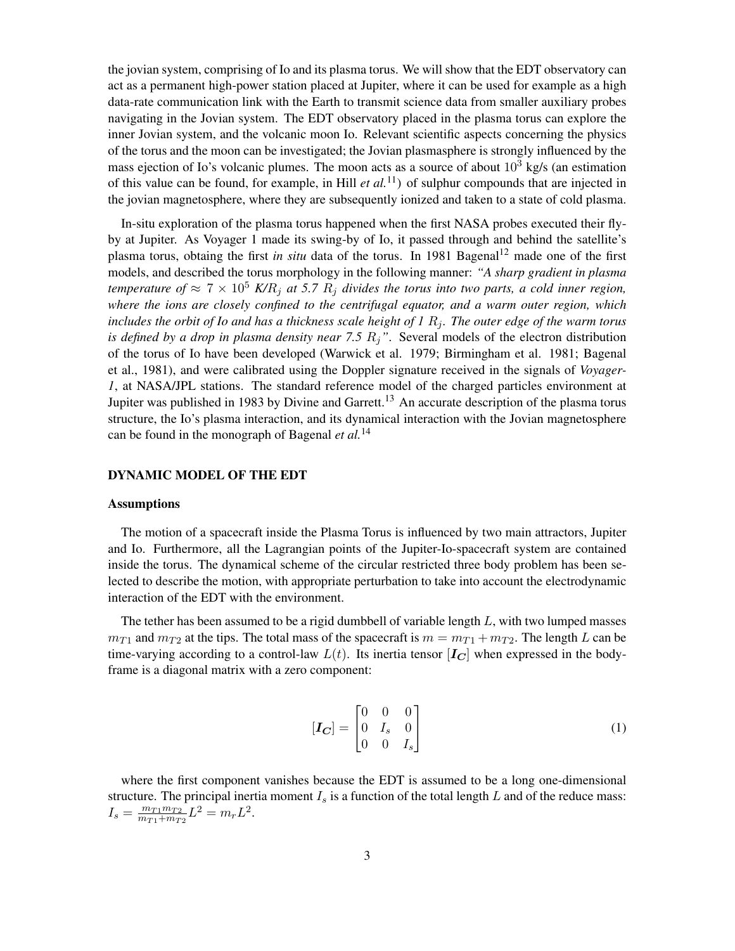the jovian system, comprising of Io and its plasma torus. We will show that the EDT observatory can act as a permanent high-power station placed at Jupiter, where it can be used for example as a high data-rate communication link with the Earth to transmit science data from smaller auxiliary probes navigating in the Jovian system. The EDT observatory placed in the plasma torus can explore the inner Jovian system, and the volcanic moon Io. Relevant scientific aspects concerning the physics of the torus and the moon can be investigated; the Jovian plasmasphere is strongly influenced by the mass ejection of Io's volcanic plumes. The moon acts as a source of about  $10<sup>3</sup>$  kg/s (an estimation of this value can be found, for example, in Hill *et al.*<sup>[11](#page-18-9)</sup>) of sulphur compounds that are injected in the jovian magnetosphere, where they are subsequently ionized and taken to a state of cold plasma.

In-situ exploration of the plasma torus happened when the first NASA probes executed their flyby at Jupiter. As Voyager 1 made its swing-by of Io, it passed through and behind the satellite's plasma torus, obtaing the first *in situ* data of the torus. In 1981 Bagenal<sup>[12](#page-18-10)</sup> made one of the first models, and described the torus morphology in the following manner: *"A sharp gradient in plasma temperature of*  $\approx 7 \times 10^5$  *K/R<sub>i</sub> at* 5.7 *R<sub>i</sub> divides the torus into two parts, a cold inner region, where the ions are closely confined to the centrifugal equator, and a warm outer region, which includes the orbit of Io and has a thickness scale height of 1*  $R_i$ *. The outer edge of the warm torus is defined by a drop in plasma density near 7.5*  $R_j$ ". Several models of the electron distribution of the torus of Io have been developed (Warwick et al. 1979; Birmingham et al. 1981; Bagenal et al., 1981), and were calibrated using the Doppler signature received in the signals of *Voyager-1*, at NASA/JPL stations. The standard reference model of the charged particles environment at Jupiter was published in 1983 by Divine and Garrett.<sup>[13](#page-18-11)</sup> An accurate description of the plasma torus structure, the Io's plasma interaction, and its dynamical interaction with the Jovian magnetosphere can be found in the monograph of Bagenal *et al.*[14](#page-18-12)

#### DYNAMIC MODEL OF THE EDT

#### **Assumptions**

The motion of a spacecraft inside the Plasma Torus is influenced by two main attractors, Jupiter and Io. Furthermore, all the Lagrangian points of the Jupiter-Io-spacecraft system are contained inside the torus. The dynamical scheme of the circular restricted three body problem has been selected to describe the motion, with appropriate perturbation to take into account the electrodynamic interaction of the EDT with the environment.

The tether has been assumed to be a rigid dumbbell of variable length  $L$ , with two lumped masses  $m_{T1}$  and  $m_{T2}$  at the tips. The total mass of the spacecraft is  $m = m_{T1} + m_{T2}$ . The length L can be time-varying according to a control-law  $L(t)$ . Its inertia tensor  $[I_C]$  when expressed in the bodyframe is a diagonal matrix with a zero component:

$$
\left[\boldsymbol{I_C}\right] = \begin{bmatrix} 0 & 0 & 0 \\ 0 & I_s & 0 \\ 0 & 0 & I_s \end{bmatrix} \tag{1}
$$

where the first component vanishes because the EDT is assumed to be a long one-dimensional structure. The principal inertia moment  $I_s$  is a function of the total length  $L$  and of the reduce mass:  $I_s = \frac{m_{T1}m_{T2}}{m_{T1}+m_{T2}}$  $\frac{m_{T1}m_{T2}}{m_{T1}+m_{T2}}L^2 = m_r L^2.$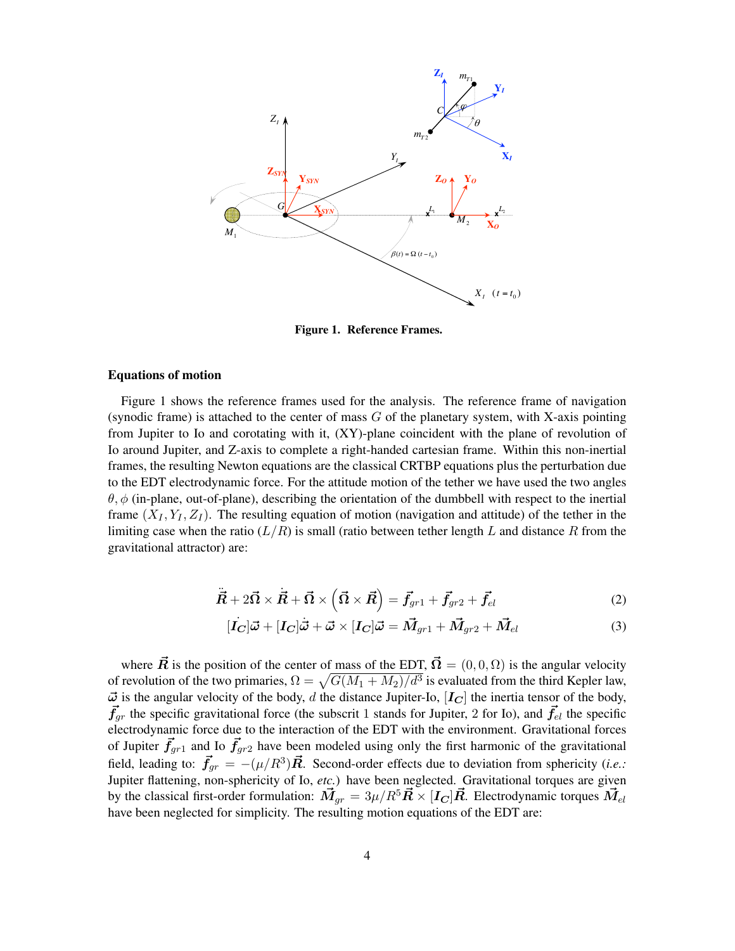

<span id="page-3-0"></span>Figure 1. Reference Frames.

#### Equations of motion

Figure [1](#page-3-0) shows the reference frames used for the analysis. The reference frame of navigation (synodic frame) is attached to the center of mass  $G$  of the planetary system, with X-axis pointing from Jupiter to Io and corotating with it, (XY)-plane coincident with the plane of revolution of Io around Jupiter, and Z-axis to complete a right-handed cartesian frame. Within this non-inertial frames, the resulting Newton equations are the classical CRTBP equations plus the perturbation due to the EDT electrodynamic force. For the attitude motion of the tether we have used the two angles  $\theta$ ,  $\phi$  (in-plane, out-of-plane), describing the orientation of the dumbbell with respect to the inertial frame  $(X_I, Y_I, Z_I)$ . The resulting equation of motion (navigation and attitude) of the tether in the limiting case when the ratio  $(L/R)$  is small (ratio between tether length L and distance R from the gravitational attractor) are:

$$
\ddot{\vec{R}} + 2\vec{\Omega} \times \vec{R} + \vec{\Omega} \times (\vec{\Omega} \times \vec{R}) = \vec{f}_{gr1} + \vec{f}_{gr2} + \vec{f}_{el}
$$
\n(2)

<span id="page-3-2"></span><span id="page-3-1"></span>
$$
[\dot{I}_C]\vec{\omega} + [I_C]\dot{\vec{\omega}} + \vec{\omega} \times [I_C]\vec{\omega} = \vec{M}_{gr1} + \vec{M}_{gr2} + \vec{M}_{el}
$$
\n(3)

where  $\vec{R}$  is the position of the center of mass of the EDT,  $\vec{\Omega} = (0, 0, \Omega)$  is the angular velocity of revolution of the two primaries,  $\Omega = \sqrt{G(M_1 + M_2)/d^3}$  is evaluated from the third Kepler law,  $\vec{\omega}$  is the angular velocity of the body, d the distance Jupiter-Io,  $[I_C]$  the inertia tensor of the body,  $\vec{f}_{qr}$  the specific gravitational force (the subscrit 1 stands for Jupiter, 2 for Io), and  $\vec{f}_{el}$  the specific electrodynamic force due to the interaction of the EDT with the environment. Gravitational forces of Jupiter  $\vec{f}_{qr1}$  and Io  $\vec{f}_{qr2}$  have been modeled using only the first harmonic of the gravitational field, leading to:  $\vec{f}_{gr} = -(\mu/R^3)\vec{R}$ . Second-order effects due to deviation from sphericity (*i.e.*: Jupiter flattening, non-sphericity of Io, *etc.*) have been neglected. Gravitational torques are given by the classical first-order formulation:  $\vec{M}_{qr} = 3\mu/R^5 \vec{R} \times [I_C] \vec{R}$ . Electrodynamic torques  $\vec{M}_{el}$ have been neglected for simplicity. The resulting motion equations of the EDT are: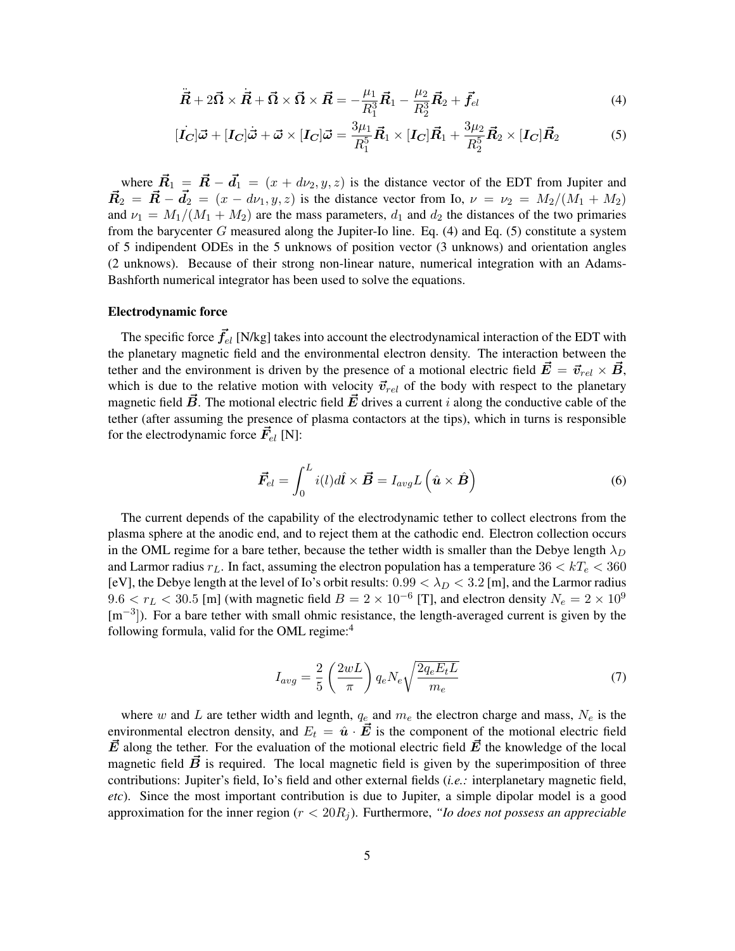<span id="page-4-1"></span><span id="page-4-0"></span>
$$
\ddot{\vec{R}} + 2\vec{\Omega} \times \dot{\vec{R}} + \vec{\Omega} \times \vec{\Omega} \times \vec{R} = -\frac{\mu_1}{R_1^3} \vec{R}_1 - \frac{\mu_2}{R_2^3} \vec{R}_2 + \vec{f}_{el}
$$
\n(4)

$$
[\vec{I}_{\mathbf{C}}]\vec{\boldsymbol{\omega}} + [\vec{I}_{\mathbf{C}}]\dot{\vec{\boldsymbol{\omega}}} + \vec{\boldsymbol{\omega}} \times [\vec{I}_{\mathbf{C}}]\vec{\boldsymbol{\omega}} = \frac{3\mu_1}{R_1^5} \vec{R}_1 \times [\vec{I}_{\mathbf{C}}] \vec{R}_1 + \frac{3\mu_2}{R_2^5} \vec{R}_2 \times [\vec{I}_{\mathbf{C}}] \vec{R}_2 \tag{5}
$$

where  $\vec{R}_1 = \vec{R} - \vec{d}_1 = (x + d\nu_2, y, z)$  is the distance vector of the EDT from Jupiter and  $\vec{R}_2 = \vec{R} - \vec{d}_2 = (x - d\nu_1, y, z)$  is the distance vector from Io,  $\nu = \nu_2 = M_2/(M_1 + M_2)$ and  $\nu_1 = M_1/(M_1 + M_2)$  are the mass parameters,  $d_1$  and  $d_2$  the distances of the two primaries from the barycenter  $G$  measured along the Jupiter-Io line. Eq. [\(4\)](#page-4-0) and Eq. [\(5\)](#page-4-1) constitute a system of 5 indipendent ODEs in the 5 unknows of position vector (3 unknows) and orientation angles (2 unknows). Because of their strong non-linear nature, numerical integration with an Adams-Bashforth numerical integrator has been used to solve the equations.

#### Electrodynamic force

The specific force  $\vec{f}_{el}$  [N/kg] takes into account the electrodynamical interaction of the EDT with the planetary magnetic field and the environmental electron density. The interaction between the tether and the environment is driven by the presence of a motional electric field  $\vec{E} = \vec{v}_{rel} \times \vec{B}$ , which is due to the relative motion with velocity  $\vec{v}_{rel}$  of the body with respect to the planetary magnetic field  $\vec{B}$ . The motional electric field  $\vec{E}$  drives a current i along the conductive cable of the tether (after assuming the presence of plasma contactors at the tips), which in turns is responsible for the electrodynamic force  $\vec{F}_{el}$  [N]:

$$
\vec{F}_{el} = \int_0^L i(l)dl \times \vec{B} = I_{avg}L(\hat{\mathbf{u}} \times \hat{\mathbf{B}})
$$
\n(6)

The current depends of the capability of the electrodynamic tether to collect electrons from the plasma sphere at the anodic end, and to reject them at the cathodic end. Electron collection occurs in the OML regime for a bare tether, because the tether width is smaller than the Debye length  $\lambda_D$ and Larmor radius  $r<sub>L</sub>$ . In fact, assuming the electron population has a temperature  $36 < kT<sub>e</sub> < 360$ [eV], the Debye length at the level of Io's orbit results:  $0.99 < \lambda_D < 3.2$  [m], and the Larmor radius  $9.6 < r_L < 30.5$  [m] (with magnetic field  $B = 2 \times 10^{-6}$  [T], and electron density  $N_e = 2 \times 10^9$ [m<sup>-3</sup>]). For a bare tether with small ohmic resistance, the length-averaged current is given by the following formula, valid for the OML regime:[4](#page-18-2)

$$
I_{avg} = \frac{2}{5} \left(\frac{2wL}{\pi}\right) q_e N_e \sqrt{\frac{2q_e E_t L}{m_e}}
$$
\n<sup>(7)</sup>

where w and L are tether width and legnth,  $q_e$  and  $m_e$  the electron charge and mass,  $N_e$  is the environmental electron density, and  $E_t = \hat{u} \cdot \vec{E}$  is the component of the motional electric field  $\vec{E}$  along the tether. For the evaluation of the motional electric field  $\vec{E}$  the knowledge of the local magnetic field  $\vec{B}$  is required. The local magnetic field is given by the superimposition of three contributions: Jupiter's field, Io's field and other external fields (*i.e.:* interplanetary magnetic field, *etc*). Since the most important contribution is due to Jupiter, a simple dipolar model is a good approximation for the inner region  $(r < 20R<sub>i</sub>)$ . Furthermore, *"Io does not possess an appreciable*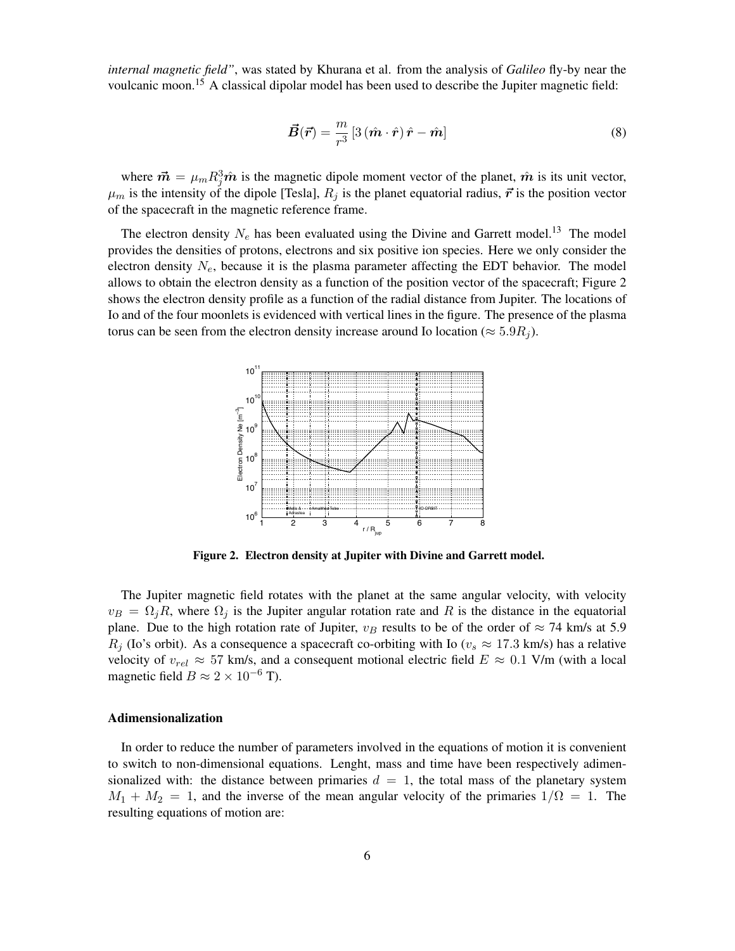*internal magnetic field"*, was stated by Khurana et al. from the analysis of *Galileo* fly-by near the voulcanic moon.[15](#page-18-13) A classical dipolar model has been used to describe the Jupiter magnetic field:

$$
\vec{B}(\vec{r}) = \frac{m}{r^3} \left[ 3 \left( \hat{m} \cdot \hat{r} \right) \hat{r} - \hat{m} \right]
$$
 (8)

where  $\vec{m} = \mu_m R_j^3 \hat{m}$  is the magnetic dipole moment vector of the planet,  $\hat{m}$  is its unit vector,  $\mu_m$  is the intensity of the dipole [Tesla],  $R_i$  is the planet equatorial radius,  $\vec{r}$  is the position vector of the spacecraft in the magnetic reference frame.

The electron density  $N_e$  has been evaluated using the Divine and Garrett model.<sup>[13](#page-18-11)</sup> The model provides the densities of protons, electrons and six positive ion species. Here we only consider the electron density  $N_e$ , because it is the plasma parameter affecting the EDT behavior. The model allows to obtain the electron density as a function of the position vector of the spacecraft; Figure [2](#page-5-0) shows the electron density profile as a function of the radial distance from Jupiter. The locations of Io and of the four moonlets is evidenced with vertical lines in the figure. The presence of the plasma torus can be seen from the electron density increase around Io location ( $\approx 5.9R_i$ ).



<span id="page-5-0"></span>Figure 2. Electron density at Jupiter with Divine and Garrett model.

The Jupiter magnetic field rotates with the planet at the same angular velocity, with velocity  $v_B = \Omega_j R$ , where  $\Omega_j$  is the Jupiter angular rotation rate and R is the distance in the equatorial plane. Due to the high rotation rate of Jupiter,  $v_B$  results to be of the order of  $\approx$  74 km/s at 5.9  $R_i$  (Io's orbit). As a consequence a spacecraft co-orbiting with Io ( $v_s \approx 17.3$  km/s) has a relative velocity of  $v_{rel} \approx 57$  km/s, and a consequent motional electric field  $E \approx 0.1$  V/m (with a local magnetic field  $B \approx 2 \times 10^{-6}$  T).

#### Adimensionalization

In order to reduce the number of parameters involved in the equations of motion it is convenient to switch to non-dimensional equations. Lenght, mass and time have been respectively adimensionalized with: the distance between primaries  $d = 1$ , the total mass of the planetary system  $M_1 + M_2 = 1$ , and the inverse of the mean angular velocity of the primaries  $1/\Omega = 1$ . The resulting equations of motion are: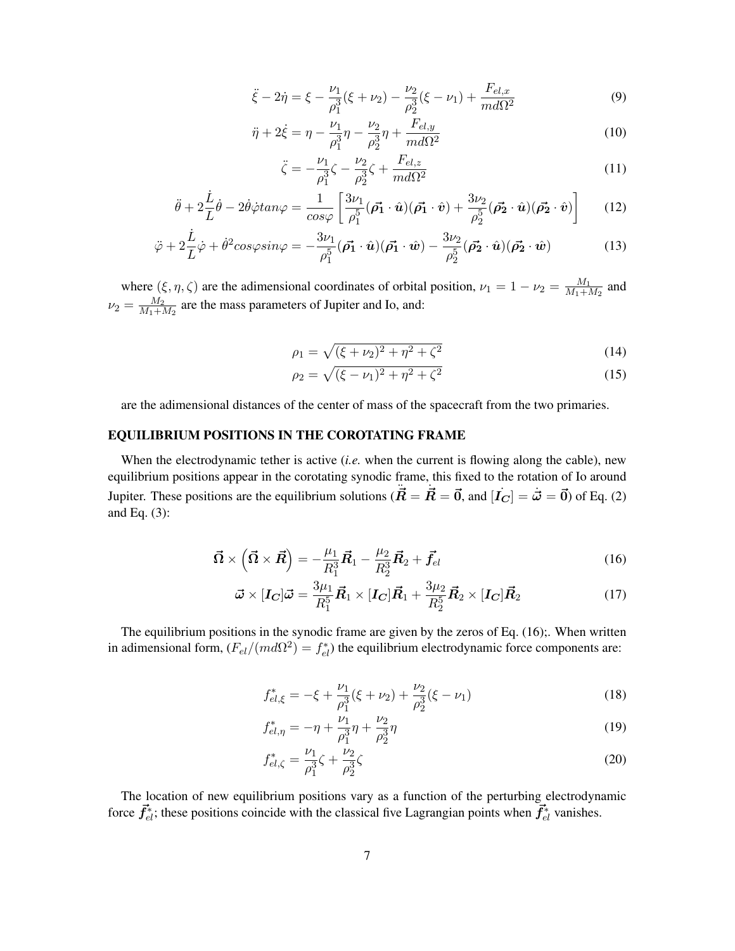$$
\ddot{\xi} - 2\dot{\eta} = \xi - \frac{\nu_1}{\rho_1^3} (\xi + \nu_2) - \frac{\nu_2}{\rho_2^3} (\xi - \nu_1) + \frac{F_{el,x}}{m d \Omega^2}
$$
(9)

$$
\ddot{\eta} + 2\dot{\xi} = \eta - \frac{\nu_1}{\rho_1^3} \eta - \frac{\nu_2}{\rho_2^3} \eta + \frac{F_{el,y}}{m d \Omega^2}
$$
(10)

$$
\ddot{\zeta} = -\frac{\nu_1}{\rho_1^3} \zeta - \frac{\nu_2}{\rho_2^3} \zeta + \frac{F_{el,z}}{m d \Omega^2}
$$
\n(11)

$$
\ddot{\theta} + 2\frac{\dot{L}}{L}\dot{\theta} - 2\dot{\theta}\dot{\varphi}tan\varphi = \frac{1}{\cos\varphi} \left[ \frac{3\nu_1}{\rho_1^5} (\vec{\rho_1} \cdot \hat{\boldsymbol{u}}) (\vec{\rho_1} \cdot \hat{\boldsymbol{v}}) + \frac{3\nu_2}{\rho_2^5} (\vec{\rho_2} \cdot \hat{\boldsymbol{u}}) (\vec{\rho_2} \cdot \hat{\boldsymbol{v}}) \right]
$$
(12)

$$
\ddot{\varphi} + 2\frac{\dot{L}}{L}\dot{\varphi} + \dot{\theta}^2 \cos\varphi \sin\varphi = -\frac{3\nu_1}{\rho_1^5} (\vec{\rho_1} \cdot \hat{\boldsymbol{u}}) (\vec{\rho_1} \cdot \hat{\boldsymbol{w}}) - \frac{3\nu_2}{\rho_2^5} (\vec{\rho_2} \cdot \hat{\boldsymbol{u}}) (\vec{\rho_2} \cdot \hat{\boldsymbol{w}})
$$
(13)

where  $(\xi, \eta, \zeta)$  are the adimensional coordinates of orbital position,  $\nu_1 = 1 - \nu_2 = \frac{M_1}{M_1 + \gamma}$  $\frac{M_1}{M_1+M_2}$  and  $\nu_2 = \frac{M_2}{M_1+i}$  $\frac{M_2}{M_1+M_2}$  are the mass parameters of Jupiter and Io, and:

$$
\rho_1 = \sqrt{(\xi + \nu_2)^2 + \eta^2 + \zeta^2} \tag{14}
$$

<span id="page-6-0"></span>
$$
\rho_2 = \sqrt{(\xi - \nu_1)^2 + \eta^2 + \zeta^2} \tag{15}
$$

are the adimensional distances of the center of mass of the spacecraft from the two primaries.

## EQUILIBRIUM POSITIONS IN THE COROTATING FRAME

When the electrodynamic tether is active (*i.e.* when the current is flowing along the cable), new equilibrium positions appear in the corotating synodic frame, this fixed to the rotation of Io around Jupiter. These positions are the equilibrium solutions ( $\vec{R} = \vec{R} = \vec{0}$ , and  $[\vec{I_C}] = \vec{\omega} = \vec{0}$ ) of Eq. [\(2\)](#page-3-1) and Eq. [\(3\)](#page-3-2):

$$
\vec{\Omega} \times \left( \vec{\Omega} \times \vec{R} \right) = -\frac{\mu_1}{R_1^3} \vec{R}_1 - \frac{\mu_2}{R_2^3} \vec{R}_2 + \vec{f}_{el} \tag{16}
$$

$$
\vec{\omega} \times [\bm{I_C}]\vec{\omega} = \frac{3\mu_1}{R_1^5} \vec{R}_1 \times [\bm{I_C}]\vec{R}_1 + \frac{3\mu_2}{R_2^5} \vec{R}_2 \times [\bm{I_C}]\vec{R}_2 \tag{17}
$$

The equilibrium positions in the synodic frame are given by the zeros of Eq. [\(16\)](#page-6-0);. When written in adimensional form,  $(F_{el}/(md\Omega^2) = f_{el}^*)$  the equilibrium electrodynamic force components are:

<span id="page-6-1"></span>
$$
f_{el,\xi}^* = -\xi + \frac{\nu_1}{\rho_1^3} (\xi + \nu_2) + \frac{\nu_2}{\rho_2^3} (\xi - \nu_1)
$$
 (18)

$$
f_{el,\eta}^* = -\eta + \frac{\nu_1}{\rho_1^3} \eta + \frac{\nu_2}{\rho_2^3} \eta \tag{19}
$$

<span id="page-6-2"></span>
$$
f_{el,\zeta}^* = \frac{\nu_1}{\rho_1^3} \zeta + \frac{\nu_2}{\rho_2^3} \zeta \tag{20}
$$

The location of new equilibrium positions vary as a function of the perturbing electrodynamic force  $\vec{f}_{el}^*$ ; these positions coincide with the classical five Lagrangian points when  $\vec{f}_{el}^*$  vanishes.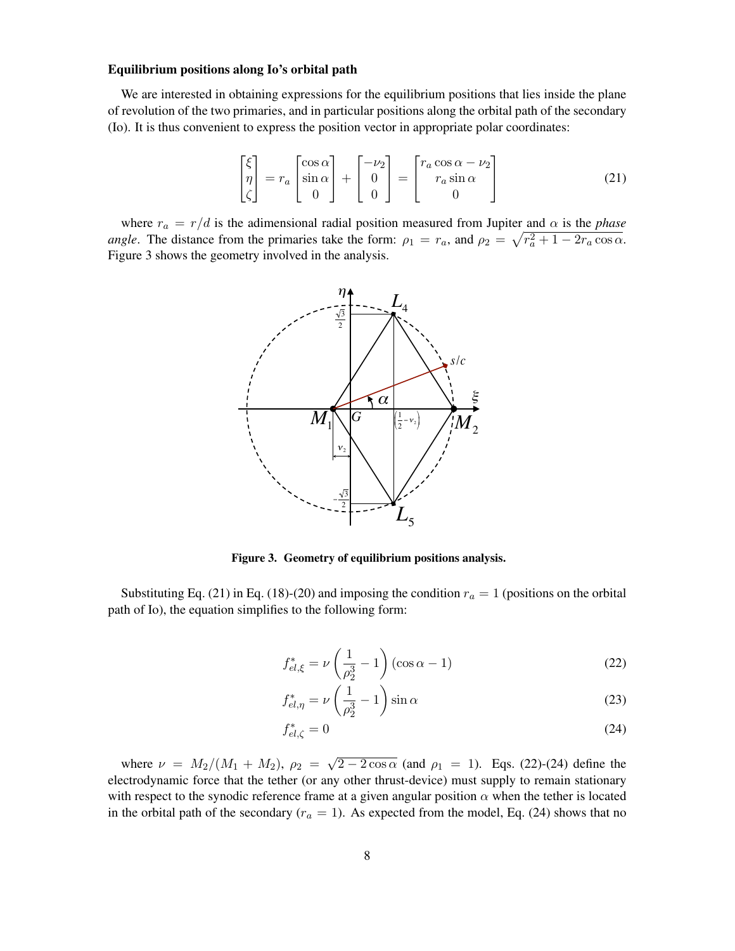#### Equilibrium positions along Io's orbital path

We are interested in obtaining expressions for the equilibrium positions that lies inside the plane of revolution of the two primaries, and in particular positions along the orbital path of the secondary (Io). It is thus convenient to express the position vector in appropriate polar coordinates:

<span id="page-7-1"></span>
$$
\begin{bmatrix} \xi \\ \eta \\ \zeta \end{bmatrix} = r_a \begin{bmatrix} \cos \alpha \\ \sin \alpha \\ 0 \end{bmatrix} + \begin{bmatrix} -\nu_2 \\ 0 \\ 0 \end{bmatrix} = \begin{bmatrix} r_a \cos \alpha - \nu_2 \\ r_a \sin \alpha \\ 0 \end{bmatrix}
$$
(21)

where  $r_a = r/d$  is the adimensional radial position measured from Jupiter and  $\alpha$  is the *phase angle*. The distance from the primaries take the form:  $\rho_1 = r_a$ , and  $\rho_2 = \sqrt{r_a^2 + 1 - 2r_a \cos \alpha}$ . Figure [3](#page-7-0) shows the geometry involved in the analysis.



<span id="page-7-0"></span>Figure 3. Geometry of equilibrium positions analysis.

 $\frac{1}{2}$  and  $\frac{1}{2}$  and  $\frac{1}{2}$  (10),  $\frac{1}{2}$  and  $\frac{1}{2}$  and  $\frac{1}{2}$  and  $\frac{1}{2}$  are  $\frac{1}{2}$  and  $\frac{1}{2}$  and  $\frac{1}{2}$  and  $\frac{1}{2}$  and  $\frac{1}{2}$  and  $\frac{1}{2}$  and  $\frac{1}{2}$  and  $\frac{1}{2}$  and  $\frac{1}{2}$ Substituting Eq. [\(21\)](#page-7-1) in Eq. [\(18\)](#page-6-1)-[\(20\)](#page-6-2) and imposing the condition  $r_a = 1$  (positions on the orbital

<span id="page-7-2"></span>
$$
f_{el,\xi}^* = \nu \left(\frac{1}{\rho_2^3} - 1\right) (\cos \alpha - 1)
$$
 (22)

$$
f_{el,\eta}^* = \nu \left(\frac{1}{\rho_2^3} - 1\right) \sin \alpha \tag{23}
$$

<span id="page-7-3"></span>
$$
f_{el,\zeta}^* = 0\tag{24}
$$

where  $\nu = M_2/(M_1 + M_2), \ \rho_2 =$ √  $\sqrt{2-2\cos\alpha}$  (and  $\rho_1 = 1$ ). Eqs. [\(22\)](#page-7-2)-[\(24\)](#page-7-3) define the electrodynamic force that the tether (or any other thrust-device) must supply to remain stationary with respect to the synodic reference frame at a given angular position  $\alpha$  when the tether is located in the orbital path of the secondary ( $r_a = 1$ ). As expected from the model, Eq. [\(24\)](#page-7-3) shows that no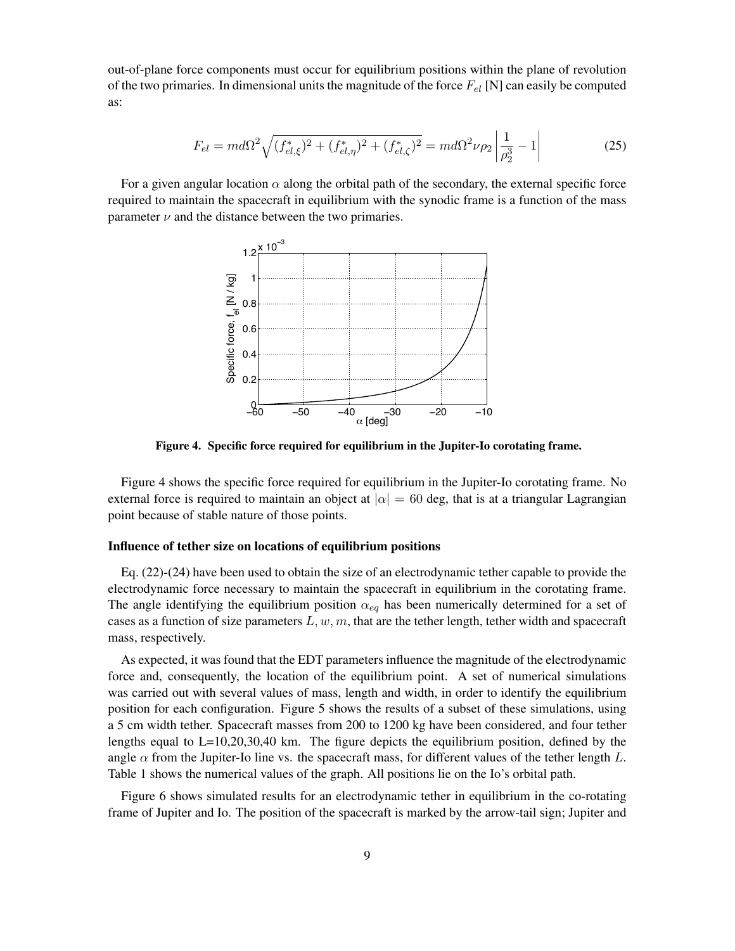out-of-plane force components must occur for equilibrium positions within the plane of revolution of the two primaries. In dimensional units the magnitude of the force  $F_{el}$  [N] can easily be computed as:

$$
F_{el} = md\Omega^2 \sqrt{(f_{el,\xi}^*)^2 + (f_{el,\eta}^*)^2 + (f_{el,\zeta}^*)^2} = md\Omega^2 \nu \rho_2 \left| \frac{1}{\rho_2^3} - 1 \right| \tag{25}
$$

For a given angular location  $\alpha$  along the orbital path of the secondary, the external specific force required to maintain the spacecraft in equilibrium with the synodic frame is a function of the mass parameter  $\nu$  and the distance between the two primaries.



<span id="page-8-0"></span>Figure 4. Specific force required for equilibrium in the Jupiter-Io corotating frame.

Figure [4](#page-8-0) shows the specific force required for equilibrium in the Jupiter-Io corotating frame. No external force is required to maintain an object at  $|\alpha| = 60$  deg, that is at a triangular Lagrangian point because of stable nature of those points.

## Influence of tether size on locations of equilibrium positions

Eq. [\(22\)](#page-7-2)-[\(24\)](#page-7-3) have been used to obtain the size of an electrodynamic tether capable to provide the electrodynamic force necessary to maintain the spacecraft in equilibrium in the corotating frame. The angle identifying the equilibrium position  $\alpha_{eq}$  has been numerically determined for a set of cases as a function of size parameters  $L, w, m$ , that are the tether length, tether width and spacecraft mass, respectively.

As expected, it was found that the EDT parameters influence the magnitude of the electrodynamic force and, consequently, the location of the equilibrium point. A set of numerical simulations was carried out with several values of mass, length and width, in order to identify the equilibrium position for each configuration. Figure [5](#page-9-0) shows the results of a subset of these simulations, using a 5 cm width tether. Spacecraft masses from 200 to 1200 kg have been considered, and four tether lengths equal to  $L=10,20,30,40$  km. The figure depicts the equilibrium position, defined by the angle  $\alpha$  from the Jupiter-Io line vs. the spacecraft mass, for different values of the tether length L. Table [1](#page-9-1) shows the numerical values of the graph. All positions lie on the Io's orbital path.

Figure [6](#page-10-0) shows simulated results for an electrodynamic tether in equilibrium in the co-rotating frame of Jupiter and Io. The position of the spacecraft is marked by the arrow-tail sign; Jupiter and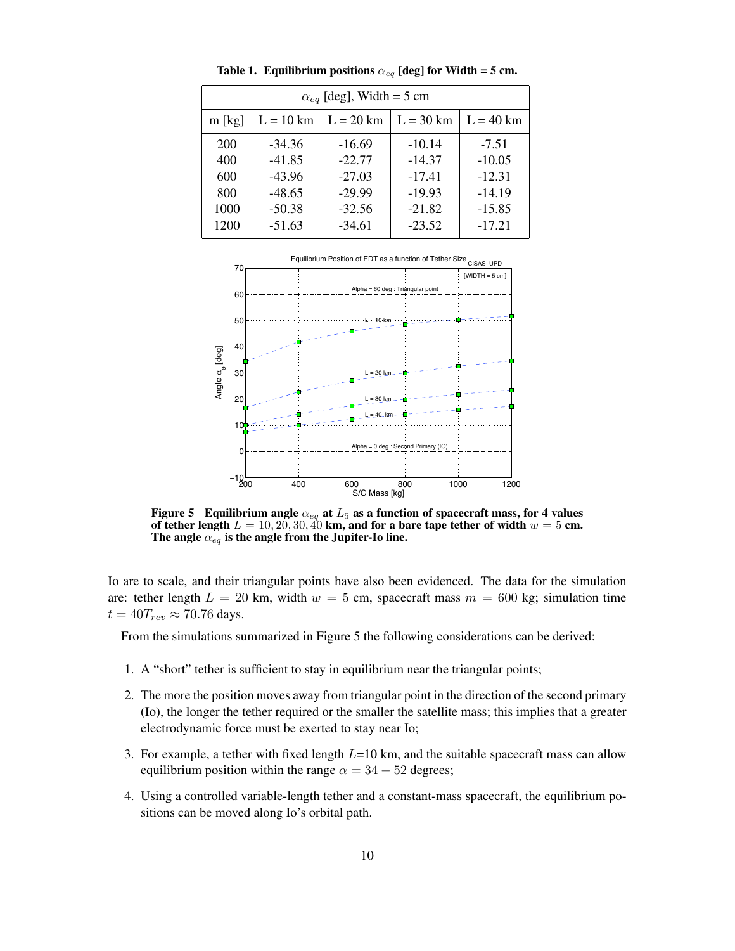| $\alpha_{eq}$ [deg], Width = 5 cm |             |             |             |             |
|-----------------------------------|-------------|-------------|-------------|-------------|
| $m$ [kg]                          | $L = 10$ km | $L = 20$ km | $L = 30$ km | $L = 40$ km |
| 200                               | $-34.36$    | $-16.69$    | $-10.14$    | $-7.51$     |
| 400                               | $-41.85$    | $-22.77$    | $-14.37$    | $-10.05$    |
| 600                               | $-43.96$    | $-27.03$    | $-17.41$    | $-12.31$    |
| 800                               | $-48.65$    | $-29.99$    | $-19.93$    | $-14.19$    |
| 1000                              | $-50.38$    | $-32.56$    | $-21.82$    | $-15.85$    |
| 1200                              | $-51.63$    | $-34.61$    | $-23.52$    | $-17.21$    |

<span id="page-9-1"></span>Table 1. Equilibrium positions  $\alpha_{eq}$  [deg] for Width = 5 cm.



<span id="page-9-0"></span>Figure 5 Equilibrium angle  $\alpha_{eq}$  at  $L_5$  as a function of spacecraft mass, for 4 values of tether length  $L = 10, 20, 30, 40$  km, and for a bare tape tether of width  $w = 5$  cm. The angle  $\alpha_{eq}$  is the angle from the Jupiter-Io line.

Io are to scale, and their triangular points have also been evidenced. The data for the simulation are: tether length  $L = 20$  km, width  $w = 5$  cm, spacecraft mass  $m = 600$  kg; simulation time  $t = 40T_{rev} \approx 70.76$  days.

From the simulations summarized in Figure [5](#page-9-0) the following considerations can be derived:

- 1. A "short" tether is sufficient to stay in equilibrium near the triangular points;
- 2. The more the position moves away from triangular point in the direction of the second primary (Io), the longer the tether required or the smaller the satellite mass; this implies that a greater electrodynamic force must be exerted to stay near Io;
- 3. For example, a tether with fixed length  $L=10$  km, and the suitable spacecraft mass can allow equilibrium position within the range  $\alpha = 34 - 52$  degrees;
- 4. Using a controlled variable-length tether and a constant-mass spacecraft, the equilibrium positions can be moved along Io's orbital path.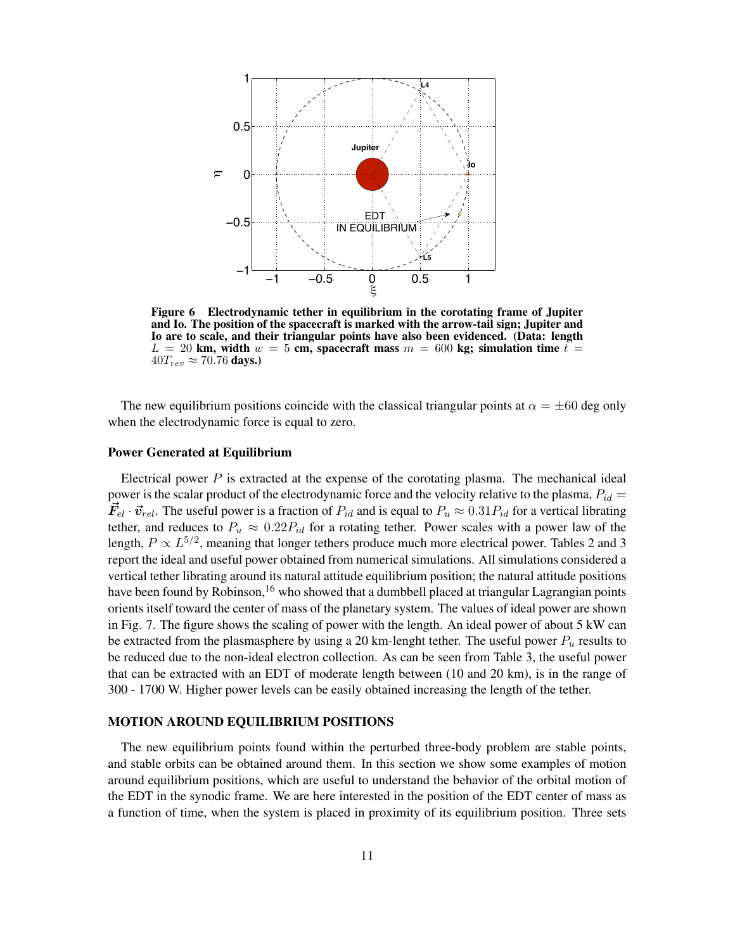

<span id="page-10-0"></span>Figure 6 Electrodynamic tether in equilibrium in the corotating frame of Jupiter and Io. The position of the spacecraft is marked with the arrow-tail sign; Jupiter and Io are to scale, and their triangular points have also been evidenced. (Data: length  $L = 20$  km, width  $w = 5$  cm, spacecraft mass  $m = 600$  kg; simulation time  $t =$  $40T_{rev} \approx 70.76$  days.)

The new equilibrium positions coincide with the classical triangular points at  $\alpha = \pm 60$  deg only when the electrodynamic force is equal to zero.

#### Power Generated at Equilibrium

Electrical power  $P$  is extracted at the expense of the corotating plasma. The mechanical ideal power is the scalar product of the electrodynamic force and the velocity relative to the plasma,  $P_{id} =$  $\vec{F}_{el} \cdot \vec{v}_{rel}$ . The useful power is a fraction of  $P_{id}$  and is equal to  $P_u \approx 0.31P_{id}$  for a vertical librating tether, and reduces to  $P_u \approx 0.22 P_{id}$  for a rotating tether. Power scales with a power law of the length,  $P \propto L^{5/2}$  $P \propto L^{5/2}$  $P \propto L^{5/2}$ , meaning that longer tethers produce much more electrical power. Tables 2 and [3](#page-11-1) report the ideal and useful power obtained from numerical simulations. All simulations considered a vertical tether librating around its natural attitude equilibrium position; the natural attitude positions have been found by Robinson,<sup>[16](#page-18-14)</sup> who showed that a dumbbell placed at triangular Lagrangian points orients itself toward the center of mass of the planetary system. The values of ideal power are shown in Fig. [7.](#page-12-0) The figure shows the scaling of power with the length. An ideal power of about 5 kW can be extracted from the plasmasphere by using a 20 km-lenght tether. The useful power  $P_u$  results to be reduced due to the non-ideal electron collection. As can be seen from Table [3,](#page-11-1) the useful power that can be extracted with an EDT of moderate length between (10 and 20 km), is in the range of 300 - 1700 W. Higher power levels can be easily obtained increasing the length of the tether.

#### MOTION AROUND EQUILIBRIUM POSITIONS

The new equilibrium points found within the perturbed three-body problem are stable points, and stable orbits can be obtained around them. In this section we show some examples of motion around equilibrium positions, which are useful to understand the behavior of the orbital motion of the EDT in the synodic frame. We are here interested in the position of the EDT center of mass as a function of time, when the system is placed in proximity of its equilibrium position. Three sets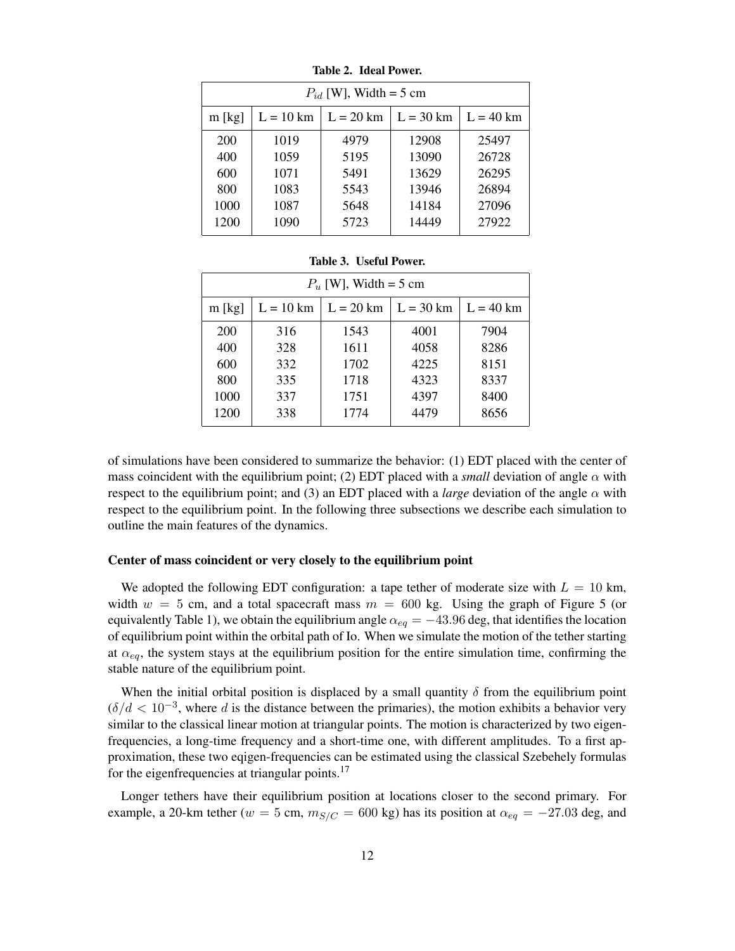|          | $P_{id}$ [W], Width = 5 cm |             |             |             |
|----------|----------------------------|-------------|-------------|-------------|
| $m$ [kg] | $L = 10$ km                | $L = 20$ km | $L = 30$ km | $L = 40$ km |
| 200      | 1019                       | 4979        | 12908       | 25497       |
| 400      | 1059                       | 5195        | 13090       | 26728       |
| 600      | 1071                       | 5491        | 13629       | 26295       |
| 800      | 1083                       | 5543        | 13946       | 26894       |
| 1000     | 1087                       | 5648        | 14184       | 27096       |
| 1200     | 1090                       | 5723        | 14449       | 27922       |

<span id="page-11-0"></span>Table 2. Ideal Power.

|          | $P_u$ [W], Width = 5 cm |      |                                                                                       |      |
|----------|-------------------------|------|---------------------------------------------------------------------------------------|------|
| $m$ [kg] |                         |      | $L = 10 \text{ km}$   $L = 20 \text{ km}$   $L = 30 \text{ km}$   $L = 40 \text{ km}$ |      |
| 200      | 316                     | 1543 | 4001                                                                                  | 7904 |
| 400      | 328                     | 1611 | 4058                                                                                  | 8286 |
| 600      | 332                     | 1702 | 4225                                                                                  | 8151 |
| 800      | 335                     | 1718 | 4323                                                                                  | 8337 |
| 1000     | 337                     | 1751 | 4397                                                                                  | 8400 |
| 1200     | 338                     | 1774 | 4479                                                                                  | 8656 |

<span id="page-11-1"></span>Table 3. Useful Power.

of simulations have been considered to summarize the behavior: (1) EDT placed with the center of mass coincident with the equilibrium point; (2) EDT placed with a *small* deviation of angle  $\alpha$  with respect to the equilibrium point; and (3) an EDT placed with a *large* deviation of the angle  $\alpha$  with respect to the equilibrium point. In the following three subsections we describe each simulation to outline the main features of the dynamics.

## Center of mass coincident or very closely to the equilibrium point

We adopted the following EDT configuration: a tape tether of moderate size with  $L = 10$  km, width  $w = 5$  $w = 5$  cm, and a total spacecraft mass  $m = 600$  kg. Using the graph of Figure 5 (or equivalently Table [1\)](#page-9-1), we obtain the equilibrium angle  $\alpha_{eq} = -43.96$  deg, that identifies the location of equilibrium point within the orbital path of Io. When we simulate the motion of the tether starting at  $\alpha_{eq}$ , the system stays at the equilibrium position for the entire simulation time, confirming the stable nature of the equilibrium point.

When the initial orbital position is displaced by a small quantity  $\delta$  from the equilibrium point  $(\delta/d < 10^{-3}$ , where d is the distance between the primaries), the motion exhibits a behavior very similar to the classical linear motion at triangular points. The motion is characterized by two eigenfrequencies, a long-time frequency and a short-time one, with different amplitudes. To a first approximation, these two eqigen-frequencies can be estimated using the classical Szebehely formulas for the eigenfrequencies at triangular points.<sup>[17](#page-18-15)</sup>

Longer tethers have their equilibrium position at locations closer to the second primary. For example, a 20-km tether ( $w = 5$  cm,  $m_{S/C} = 600$  kg) has its position at  $\alpha_{eq} = -27.03$  deg, and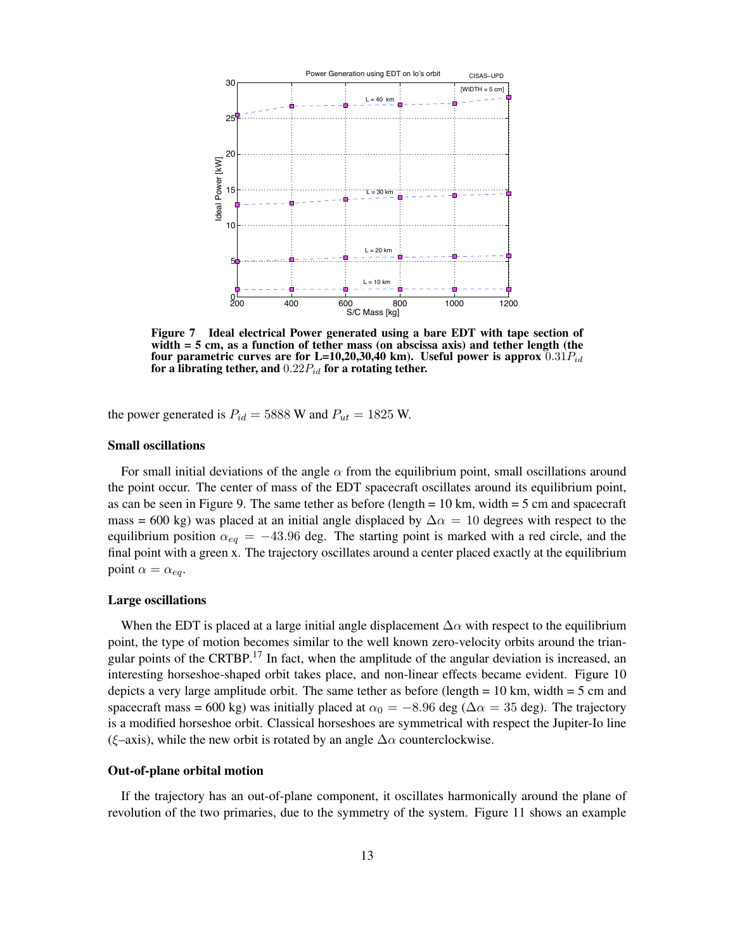

<span id="page-12-0"></span>Figure 7 Ideal electrical Power generated using a bare EDT with tape section of width = 5 cm, as a function of tether mass (on abscissa axis) and tether length (the four parametric curves are for L=10,20,30,40 km). Useful power is approx  $0.31P_{id}$ for a librating tether, and  $0.22P_{id}$  for a rotating tether.

the power generated is  $P_{id} = 5888$  W and  $P_{ut} = 1825$  W.

#### Small oscillations

For small initial deviations of the angle  $\alpha$  from the equilibrium point, small oscillations around the point occur. The center of mass of the EDT spacecraft oscillates around its equilibrium point, as can be seen in Figure [9.](#page-14-0) The same tether as before (length  $= 10$  km, width  $= 5$  cm and spacecraft mass = 600 kg) was placed at an initial angle displaced by  $\Delta \alpha = 10$  degrees with respect to the equilibrium position  $\alpha_{eq} = -43.96$  deg. The starting point is marked with a red circle, and the final point with a green x. The trajectory oscillates around a center placed exactly at the equilibrium point  $\alpha = \alpha_{eq}$ .

#### Large oscillations

When the EDT is placed at a large initial angle displacement  $\Delta \alpha$  with respect to the equilibrium point, the type of motion becomes similar to the well known zero-velocity orbits around the trian-gular points of the CRTBP.<sup>[17](#page-18-15)</sup> In fact, when the amplitude of the angular deviation is increased, an interesting horseshoe-shaped orbit takes place, and non-linear effects became evident. Figure [10](#page-15-0) depicts a very large amplitude orbit. The same tether as before (length  $= 10$  km, width  $= 5$  cm and spacecraft mass = 600 kg) was initially placed at  $\alpha_0 = -8.96$  deg ( $\Delta \alpha = 35$  deg). The trajectory is a modified horseshoe orbit. Classical horseshoes are symmetrical with respect the Jupiter-Io line (ξ–axis), while the new orbit is rotated by an angle  $\Delta \alpha$  counterclockwise.

#### Out-of-plane orbital motion

If the trajectory has an out-of-plane component, it oscillates harmonically around the plane of revolution of the two primaries, due to the symmetry of the system. Figure [11](#page-15-1) shows an example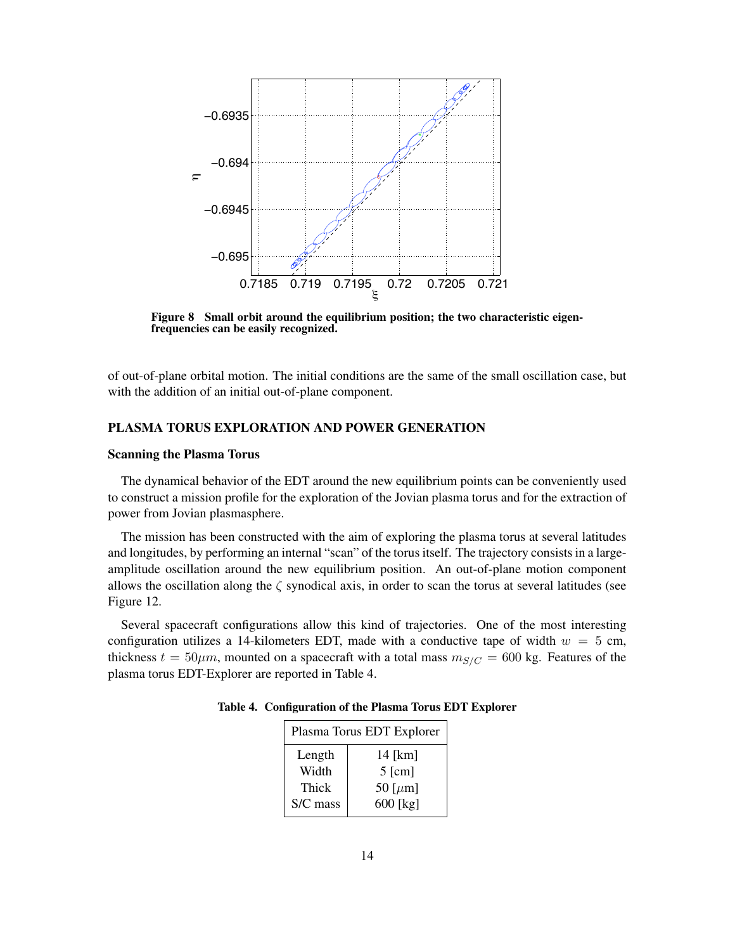

Figure 8 Small orbit around the equilibrium position; the two characteristic eigenfrequencies can be easily recognized.

of out-of-plane orbital motion. The initial conditions are the same of the small oscillation case, but with the addition of an initial out-of-plane component.

## PLASMA TORUS EXPLORATION AND POWER GENERATION

#### Scanning the Plasma Torus

The dynamical behavior of the EDT around the new equilibrium points can be conveniently used to construct a mission profile for the exploration of the Jovian plasma torus and for the extraction of power from Jovian plasmasphere.

The mission has been constructed with the aim of exploring the plasma torus at several latitudes and longitudes, by performing an internal "scan" of the torus itself. The trajectory consists in a largeamplitude oscillation around the new equilibrium position. An out-of-plane motion component allows the oscillation along the  $\zeta$  synodical axis, in order to scan the torus at several latitudes (see Figure [12.](#page-16-0)

Several spacecraft configurations allow this kind of trajectories. One of the most interesting configuration utilizes a 14-kilometers EDT, made with a conductive tape of width  $w = 5$  cm, thickness  $t = 50 \mu m$ , mounted on a spacecraft with a total mass  $m_{S/C} = 600$  kg. Features of the plasma torus EDT-Explorer are reported in Table [4.](#page-13-0)

<span id="page-13-0"></span>

| Plasma Torus EDT Explorer |               |  |
|---------------------------|---------------|--|
| Length                    | $14$ [km]     |  |
| Width                     | $5$ [cm]      |  |
| Thick                     | 50 [ $\mu$ m] |  |
| S/C mass                  | $600$ [kg]    |  |
|                           |               |  |

Table 4. Configuration of the Plasma Torus EDT Explorer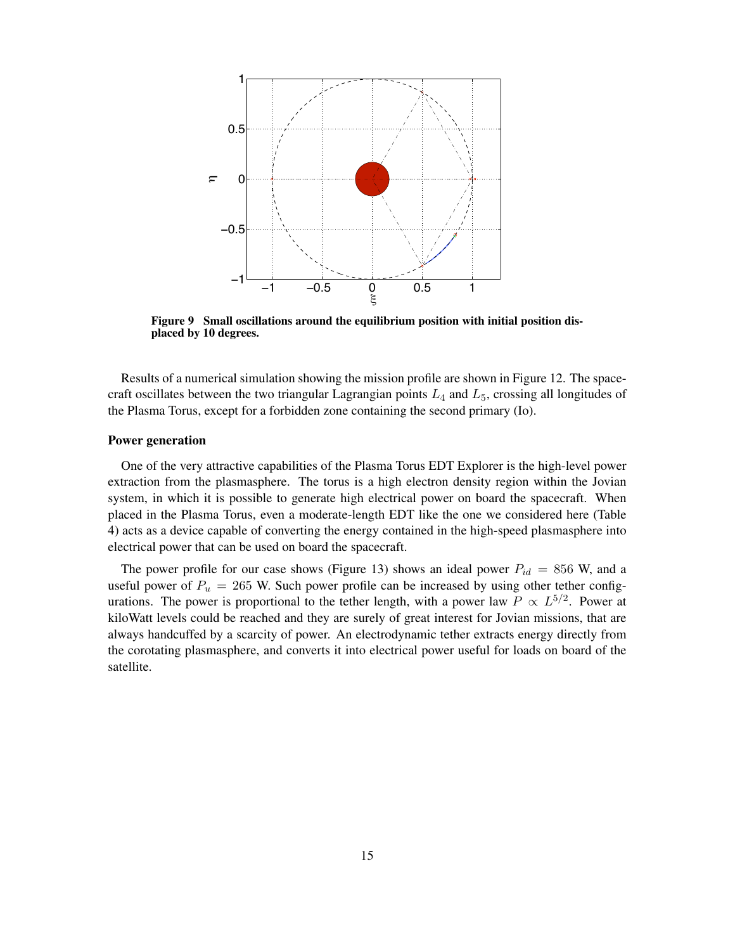

<span id="page-14-0"></span>Figure 9 Small oscillations around the equilibrium position with initial position displaced by 10 degrees.

Results of a numerical simulation showing the mission profile are shown in Figure [12.](#page-16-0) The spacecraft oscillates between the two triangular Lagrangian points  $L_4$  and  $L_5$ , crossing all longitudes of the Plasma Torus, except for a forbidden zone containing the second primary (Io).

#### Power generation

One of the very attractive capabilities of the Plasma Torus EDT Explorer is the high-level power extraction from the plasmasphere. The torus is a high electron density region within the Jovian system, in which it is possible to generate high electrical power on board the spacecraft. When placed in the Plasma Torus, even a moderate-length EDT like the one we considered here (Table [4\)](#page-13-0) acts as a device capable of converting the energy contained in the high-speed plasmasphere into electrical power that can be used on board the spacecraft.

The power profile for our case shows (Figure [13\)](#page-16-1) shows an ideal power  $P_{id} = 856$  W, and a useful power of  $P_u = 265$  W. Such power profile can be increased by using other tether configurations. The power is proportional to the tether length, with a power law  $P \propto L^{5/2}$ . Power at kiloWatt levels could be reached and they are surely of great interest for Jovian missions, that are always handcuffed by a scarcity of power. An electrodynamic tether extracts energy directly from the corotating plasmasphere, and converts it into electrical power useful for loads on board of the satellite.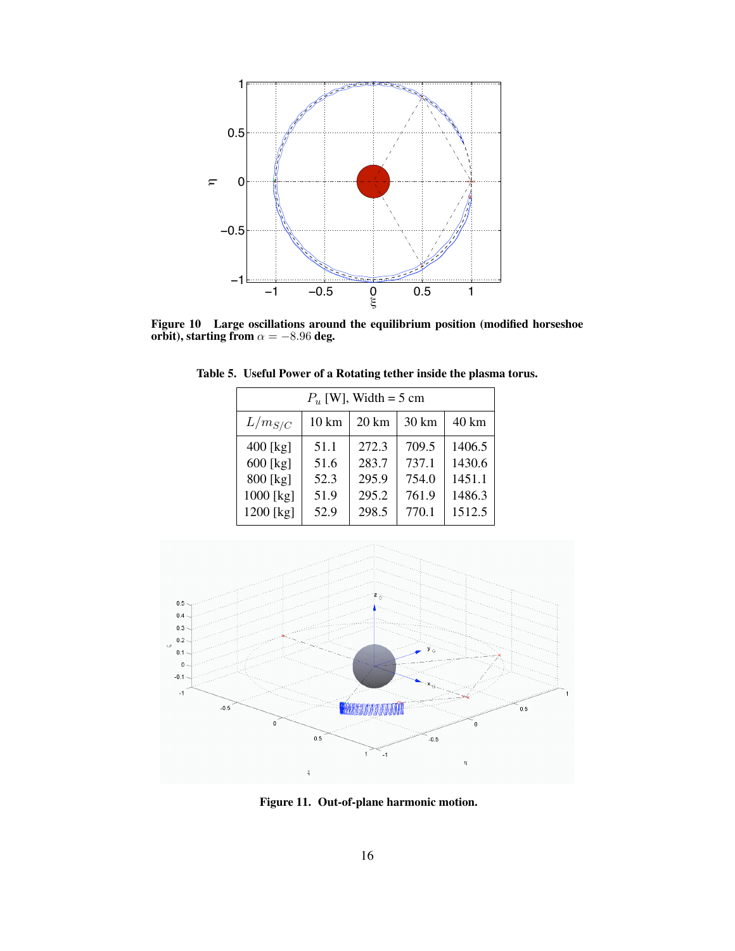

Figure 10 Large oscillations around the equilibrium position (modified horseshoe orbit), starting from  $\alpha = -8.96$  deg.

| $P_u$ [W], Width = 5 cm |                 |                  |       |        |
|-------------------------|-----------------|------------------|-------|--------|
| $L/m_{S/C}$             | $10 \text{ km}$ | $20 \mathrm{km}$ | 30 km | 40 km  |
| 400 [kg]                | 51.1            | 272.3            | 709.5 | 1406.5 |
| $600$ [kg]              | 51.6            | 283.7            | 737.1 | 1430.6 |
| 800 [kg]                | 52.3            | 295.9            | 754.0 | 1451.1 |
| 1000 [kg]               | 51.9            | 295.2            | 761.9 | 1486.3 |
| 1200 [kg]               | 52.9            | 298.5            | 770.1 | 1512.5 |

<span id="page-15-0"></span>Table 5. Useful Power of a Rotating tether inside the plasma torus.



<span id="page-15-1"></span>Figure 11. Out-of-plane harmonic motion.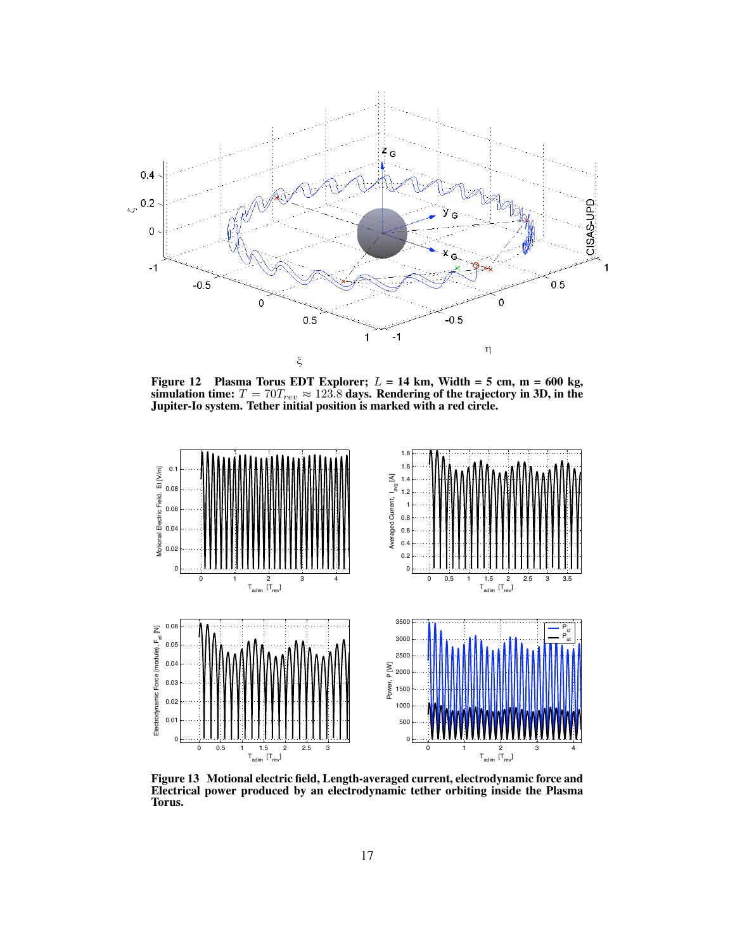

<span id="page-16-0"></span>Figure 12 Plasma Torus EDT Explorer;  $L = 14$  km, Width = 5 cm, m = 600 kg, simulation time:  $T = 70T_{rev} \approx 123.8$  days. Rendering of the trajectory in 3D, in the Jupiter-Io system. Tether initial position is marked with a red circle.



<span id="page-16-1"></span>Figure 13 Motional electric field, Length-averaged current, electrodynamic force and Electrical power produced by an electrodynamic tether orbiting inside the Plasma Torus.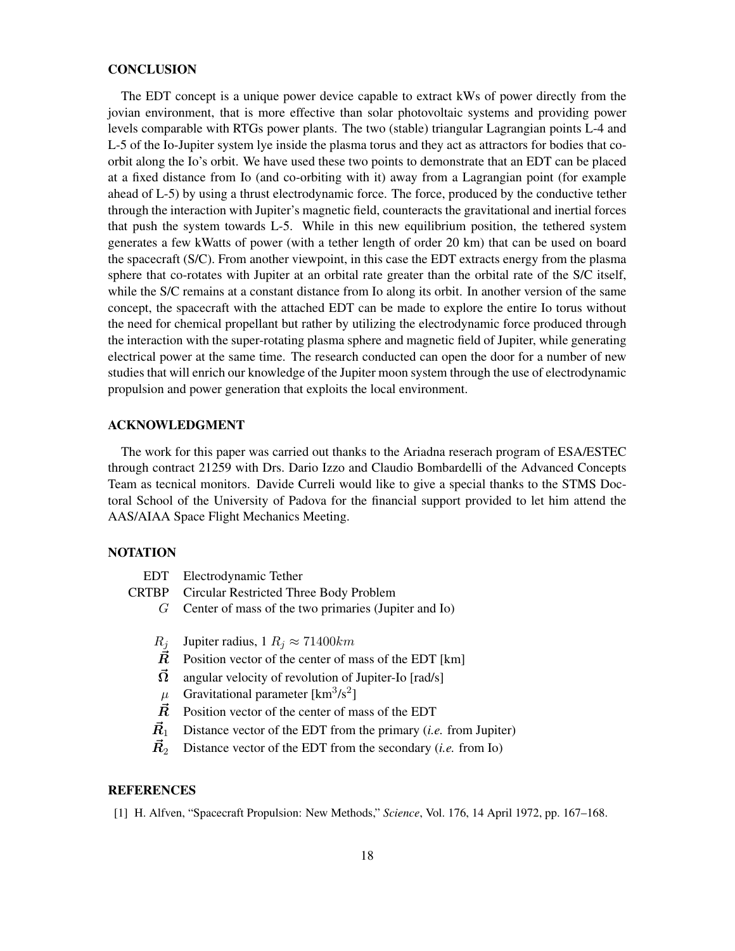#### **CONCLUSION**

The EDT concept is a unique power device capable to extract kWs of power directly from the jovian environment, that is more effective than solar photovoltaic systems and providing power levels comparable with RTGs power plants. The two (stable) triangular Lagrangian points L-4 and L-5 of the Io-Jupiter system lye inside the plasma torus and they act as attractors for bodies that coorbit along the Io's orbit. We have used these two points to demonstrate that an EDT can be placed at a fixed distance from Io (and co-orbiting with it) away from a Lagrangian point (for example ahead of L-5) by using a thrust electrodynamic force. The force, produced by the conductive tether through the interaction with Jupiter's magnetic field, counteracts the gravitational and inertial forces that push the system towards L-5. While in this new equilibrium position, the tethered system generates a few kWatts of power (with a tether length of order 20 km) that can be used on board the spacecraft (S/C). From another viewpoint, in this case the EDT extracts energy from the plasma sphere that co-rotates with Jupiter at an orbital rate greater than the orbital rate of the S/C itself, while the S/C remains at a constant distance from Io along its orbit. In another version of the same concept, the spacecraft with the attached EDT can be made to explore the entire Io torus without the need for chemical propellant but rather by utilizing the electrodynamic force produced through the interaction with the super-rotating plasma sphere and magnetic field of Jupiter, while generating electrical power at the same time. The research conducted can open the door for a number of new studies that will enrich our knowledge of the Jupiter moon system through the use of electrodynamic propulsion and power generation that exploits the local environment.

## ACKNOWLEDGMENT

The work for this paper was carried out thanks to the Ariadna reserach program of ESA/ESTEC through contract 21259 with Drs. Dario Izzo and Claudio Bombardelli of the Advanced Concepts Team as tecnical monitors. Davide Curreli would like to give a special thanks to the STMS Doctoral School of the University of Padova for the financial support provided to let him attend the AAS/AIAA Space Flight Mechanics Meeting.

#### NOTATION

|           | EDT Electrodynamic Tether                                |  |
|-----------|----------------------------------------------------------|--|
|           | <b>CRTBP</b> Circular Restricted Three Body Problem      |  |
|           | $G$ Center of mass of the two primaries (Jupiter and Io) |  |
|           |                                                          |  |
| $R_i$     | Jupiter radius, 1 $R_i \approx 71400$ km                 |  |
| $\bar{R}$ | Position vector of the center of mass of the EDT [km]    |  |
| $\Omega$  | angular velocity of revolution of Jupiter-Io [rad/s]     |  |

- $\mu$  Gravitational parameter [km<sup>3</sup>/s<sup>2</sup>]
- $\vec{R}$  Position vector of the center of mass of the EDT
- $\vec{R}_1$  Distance vector of the EDT from the primary (*i.e.* from Jupiter)
- $\vec{R}_2$  Distance vector of the EDT from the secondary (*i.e.* from Io)

## **REFERENCES**

<span id="page-17-0"></span>[1] H. Alfven, "Spacecraft Propulsion: New Methods," *Science*, Vol. 176, 14 April 1972, pp. 167–168.